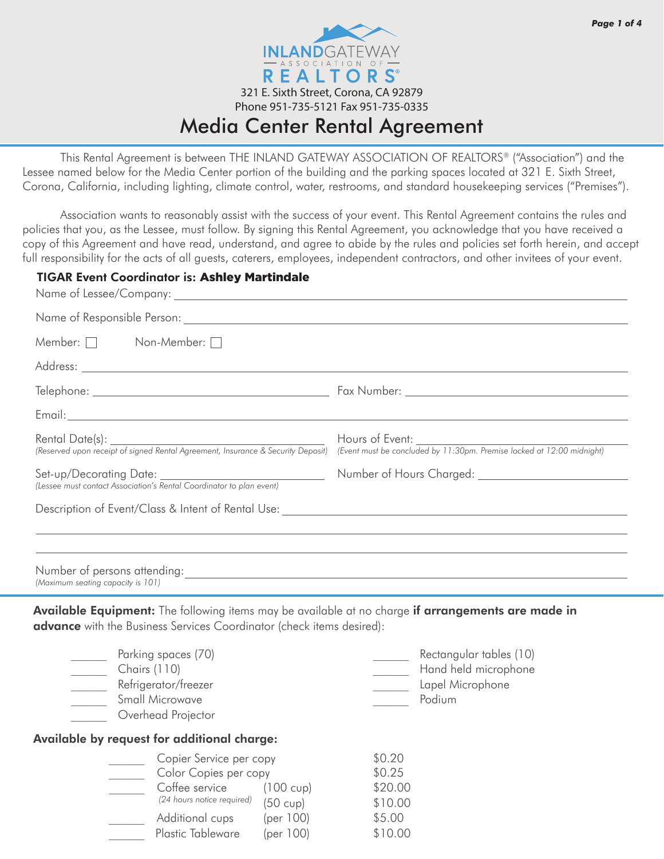

# Media Center Rental Agreement

 This Rental Agreement is between THE INLAND GATEWAY ASSOCIATION OF REALTORS® ("Association") and the Lessee named below for the Media Center portion of the building and the parking spaces located at 321 E. Sixth Street, Corona, California, including lighting, climate control, water, restrooms, and standard housekeeping services ("Premises").

Association wants to reasonably assist with the success of your event. This Rental Agreement contains the rules and policies that you, as the Lessee, must follow. By signing this Rental Agreement, you acknowledge that you have received a copy of this Agreement and have read, understand, and agree to abide by the rules and policies set forth herein, and accept full responsibility for the acts of all guests, caterers, employees, independent contractors, and other invitees of your event.

### TIGAR Event Coordinator is: Ashley Martindale

| Member: $\Box$ Non-Member: $\Box$                                                                                                                                                         |                                                                                           |  |
|-------------------------------------------------------------------------------------------------------------------------------------------------------------------------------------------|-------------------------------------------------------------------------------------------|--|
|                                                                                                                                                                                           |                                                                                           |  |
|                                                                                                                                                                                           |                                                                                           |  |
|                                                                                                                                                                                           |                                                                                           |  |
| Rental Date(s):<br>(Reserved upon receipt of signed Rental Agreement, Insurance & Security Deposit)                                                                                       | Hours of Event:<br>(Event must be concluded by 11:30pm. Premise locked at 12:00 midnight) |  |
| Set-up/Decorating Date:<br>(Lessee must contact Association's Rental Coordinator to plan event)                                                                                           |                                                                                           |  |
|                                                                                                                                                                                           | ,我们也不会有什么。""我们的人,我们也不会有什么?""我们的人,我们也不会有什么?""我们的人,我们也不会有什么?""我们的人,我们也不会有什么?""我们的人          |  |
| (Maximum seating capacity is 101)                                                                                                                                                         |                                                                                           |  |
| <b>Available Equipment:</b> The following items may be available at no charge <b>if arrangements are made in</b><br>advance with the Business Services Coordinator (check items desired): |                                                                                           |  |
| Parking spaces (70)<br>$\overline{\phantom{a}}$<br>$\frac{1}{2}$ Chairs (110)<br>Refrigerator/freezer<br>Small Microwave<br>$\overline{\phantom{a}}$<br>Overhead Projector                | Rectangular tables (10)<br>Hand held microphone<br>Lapel Microphone<br>Podium             |  |

### Available by request for additional charge:

| Copier Service per copy    |                     | \$0.20  |
|----------------------------|---------------------|---------|
| Color Copies per copy      |                     | \$0.25  |
| Coffee service             | $(100 \text{ cup})$ | \$20.00 |
| (24 hours notice required) | $(50 \text{ cup})$  | \$10.00 |
| Additional cups            | (per $100$ )        | \$5.00  |
| Plastic Tableware          | (per $100$ )        | \$10.00 |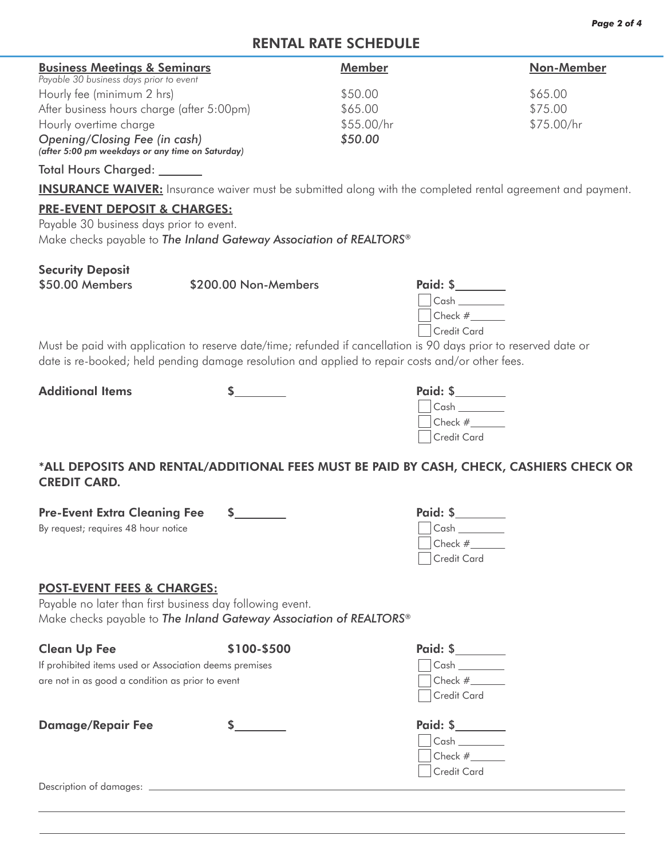# RENTAL RATE SCHEDULE

| Member     | Non-Member |
|------------|------------|
| \$50.00    | \$65.00    |
| \$65.00    | \$75.00    |
| \$55.00/hr | \$75.00/hr |
| \$50.00    |            |
|            |            |

*(after 5:00 pm weekdays or any time on Saturday)*

Total Hours Charged:

**INSURANCE WAIVER:** Insurance waiver must be submitted along with the completed rental agreement and payment.

## PRE-EVENT DEPOSIT & CHARGES:

Payable 30 business days prior to event. Make checks payable to *The Inland Gateway Association of REALTORS®*

# Security Deposit

\$50.00 Members \$200.00 Non-Members

| Paid: \$    |  |
|-------------|--|
| Cash        |  |
| Check #     |  |
| Credit Card |  |
|             |  |

Must be paid with application to reserve date/time; refunded if cancellation is 90 days prior to reserved date or date is re-booked; held pending damage resolution and applied to repair costs and/or other fees.

Additional Items \$ Paid: \$

| Paid: \$           |  |
|--------------------|--|
| Cash               |  |
| Check $#$          |  |
| <b>Credit Card</b> |  |

\*ALL DEPOSITS AND RENTAL/ADDITIONAL FEES MUST BE PAID BY CASH, CHECK, CASHIERS CHECK OR CREDIT CARD.

| <b>Pre-Event Extra Cleaning Fee</b> | Paid: \$     |  |
|-------------------------------------|--------------|--|
| By request; requires 48 hour notice | $\vert$ Cash |  |
|                                     | Check #      |  |
|                                     | Credit Card  |  |
|                                     |              |  |

## POST-EVENT FEES & CHARGES:

Payable no later than first business day following event. Make checks payable to *The Inland Gateway Association of REALTORS®*

| <b>Clean Up Fee</b>                                    | \$100-\$500 | Paid: \$                                         |
|--------------------------------------------------------|-------------|--------------------------------------------------|
| If prohibited items used or Association deems premises |             |                                                  |
| are not in as good a condition as prior to event       |             | Check #<br><b>Credit Card</b>                    |
| <b>Damage/Repair Fee</b>                               |             | Paid: \$<br>Cash<br>$ Check #_\_$<br>Credit Card |
| Description of damages:                                |             |                                                  |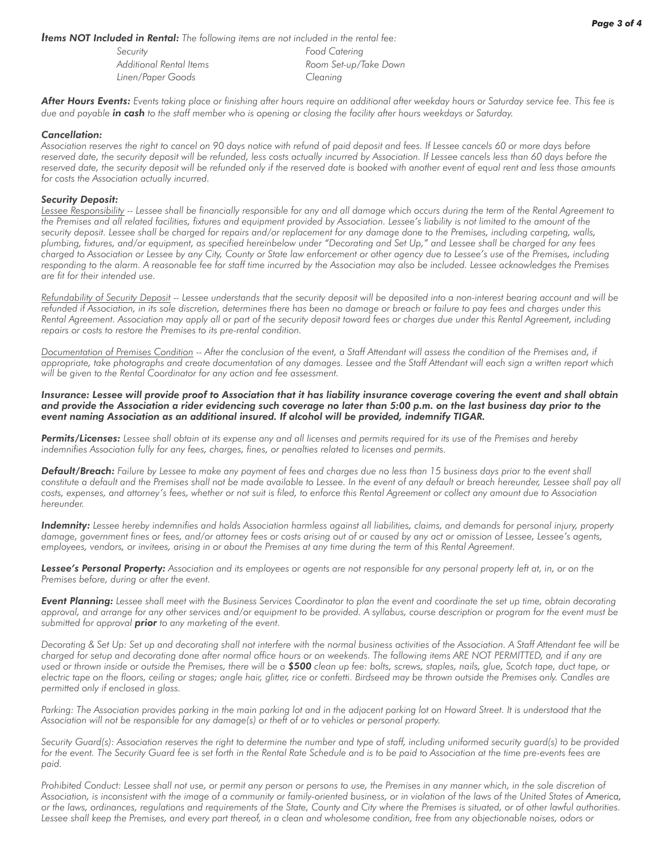*Items NOT Included in Rental: The following items are not included in the rental fee:*

| Security                | Food Catering         |
|-------------------------|-----------------------|
| Additional Rental Items | Room Set-up/Take Down |
| Linen/Paper Goods       | Cleaning              |

*After Hours Events: Events taking place or finishing after hours require an additional after weekday hours or Saturday service fee. This fee is due and payable in cash to the staff member who is opening or closing the facility after hours weekdays or Saturday.*

#### *Cancellation:*

*Association reserves the right to cancel on 90 days notice with refund of paid deposit and fees. If Lessee cancels 60 or more days before reserved date, the security deposit will be refunded, less costs actually incurred by Association. If Lessee cancels less than 60 days before the*  reserved date, the security deposit will be refunded only if the reserved date is booked with another event of equal rent and less those amounts *for costs the Association actually incurred.*

#### *Security Deposit:*

*Lessee Responsibility -- Lessee shall be financially responsible for any and all damage which occurs during the term of the Rental Agreement to the Premises and all related facilities, fixtures and equipment provided by Association. Lessee's liability is not limited to the amount of the security deposit. Lessee shall be charged for repairs and/or replacement for any damage done to the Premises, including carpeting, walls, plumbing, fixtures, and/or equipment, as specified hereinbelow under "Decorating and Set Up," and Lessee shall be charged for any fees charged to Association or Lessee by any City, County or State law enforcement or other agency due to Lessee's use of the Premises, including responding to the alarm. A reasonable fee for staff time incurred by the Association may also be included. Lessee acknowledges the Premises are fit for their intended use.*

Refundability of Security Deposit -- Lessee understands that the security deposit will be deposited into a non-interest bearing account and will be *refunded if Association, in its sole discretion, determines there has been no damage or breach or failure to pay fees and charges under this Rental Agreement. Association may apply all or part of the security deposit toward fees or charges due under this Rental Agreement, including repairs or costs to restore the Premises to its pre-rental condition.*

*Documentation of Premises Condition -- After the conclusion of the event, a Staff Attendant will assess the condition of the Premises and, if appropriate, take photographs and create documentation of any damages. Lessee and the Staff Attendant will each sign a written report which will be given to the Rental Coordinator for any action and fee assessment.*

*Insurance: Lessee will provide proof to Association that it has liability insurance coverage covering the event and shall obtain and provide the Association a rider evidencing such coverage no later than 5:00 p.m. on the last business day prior to the event naming Association as an additional insured. If alcohol will be provided, indemnify TIGAR.*

*Permits/Licenses: Lessee shall obtain at its expense any and all licenses and permits required for its use of the Premises and hereby indemnifies Association fully for any fees, charges, fines, or penalties related to licenses and permits.*

*Default/Breach: Failure by Lessee to make any payment of fees and charges due no less than 15 business days prior to the event shall*  constitute a default and the Premises shall not be made available to Lessee. In the event of any default or breach hereunder, Lessee shall pay all *costs, expenses, and attorney's fees, whether or not suit is filed, to enforce this Rental Agreement or collect any amount due to Association hereunder.*

*Indemnity: Lessee hereby indemnifies and holds Association harmless against all liabilities, claims, and demands for personal injury, property damage, government fines or fees, and/or attorney fees or costs arising out of or caused by any act or omission of Lessee, Lessee's agents, employees, vendors, or invitees, arising in or about the Premises at any time during the term of this Rental Agreement.*

*Lessee's Personal Property: Association and its employees or agents are not responsible for any personal property left at, in, or on the Premises before, during or after the event.*

*Event Planning: Lessee shall meet with the Business Services Coordinator to plan the event and coordinate the set up time, obtain decorating approval, and arrange for any other services and/or equipment to be provided. A syllabus, course description or program for the event must be submitted for approval prior to any marketing of the event.*

*Decorating & Set Up: Set up and decorating shall not interfere with the normal business activities of the Association. A Staff Attendant fee will be charged for setup and decorating done after normal office hours or on weekends. The following items ARE NOT PERMITTED, and if any are used or thrown inside or outside the Premises, there will be a \$500 clean up fee: bolts, screws, staples, nails, glue, Scotch tape, duct tape, or*  electric tape on the floors, ceiling or stages; angle hair, glitter, rice or confetti. Birdseed may be thrown outside the Premises only. Candles are *permitted only if enclosed in glass.*

Parking: The Association provides parking in the main parking lot and in the adjacent parking lot on Howard Street. It is understood that the *Association will not be responsible for any damage(s) or theft of or to vehicles or personal property.*

*Security Guard(s): Association reserves the right to determine the number and type of staff, including uniformed security guard(s) to be provided*  for the event. The Security Guard fee is set forth in the Rental Rate Schedule and is to be paid to Association at the time pre-events fees are *paid.*

Prohibited Conduct: Lessee shall not use, or permit any person or persons to use, the Premises in any manner which, in the sole discretion of *Association, is inconsistent with the image of a community or family-oriented business, or in violation of the laws of the United States of America, or the laws, ordinances, regulations and requirements of the State, County and City where the Premises is situated, or of other lawful authorities.*  Lessee shall keep the Premises, and every part thereof, in a clean and wholesome condition, free from any objectionable noises, odors or